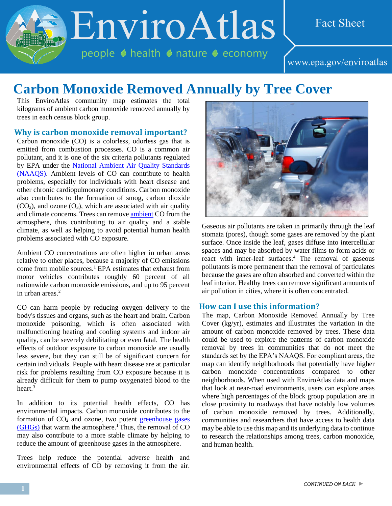EnviroAtlas

people ♦ health ♦ nature ♦ economy

# **Fact Sheet**

www.epa.gov/enviroatlas

# **Carbon Monoxide Removed Annually by Tree Cover**

This EnviroAtlas community map estimates the total kilograms of ambient carbon monoxide removed annually by trees in each census block group.

#### **Why is carbon monoxide removal important?**

Carbon monoxide (CO) is a colorless, odorless gas that is emitted from combustion processes. CO is a common air pollutant, and it is one of the six criteria pollutants regulated by EPA under the [National Ambient Air Quality Standards](http://enviroatlas.epa.gov/enviroatlas/glossary/glossary.html#NAAQS)  [\(NAAQS\).](http://enviroatlas.epa.gov/enviroatlas/glossary/glossary.html#NAAQS) Ambient levels of CO can contribute to health problems, especially for individuals with heart disease and other chronic cardiopulmonary conditions. Carbon monoxide also contributes to the formation of smog, carbon dioxide  $(CO<sub>2</sub>)$ , and ozone  $(O<sub>3</sub>)$ , which are associated with air quality and climate concerns. Trees can remove [ambient](http://enviroatlas.epa.gov/enviroatlas/glossary/glossary.html#ambient) CO from the atmosphere, thus contributing to air quality and a stable climate, as well as helping to avoid potential human health problems associated with CO exposure.

Ambient CO concentrations are often higher in urban areas relative to other places, because a majority of CO emissions come from mobile sources.<sup>1</sup> EPA estimates that exhaust from motor vehicles contributes roughly 60 percent of all nationwide carbon monoxide emissions, and up to 95 percent in urban areas.<sup>2</sup>

CO can harm people by reducing oxygen delivery to the body's tissues and organs, such as the heart and brain. Carbon monoxide poisoning, which is often associated with malfunctioning heating and cooling systems and indoor air quality, can be severely debilitating or even fatal. The health effects of outdoor exposure to carbon monoxide are usually less severe, but they can still be of significant concern for certain individuals. People with heart disease are at particular risk for problems resulting from CO exposure because it is already difficult for them to pump oxygenated blood to the heart.<sup>3</sup>

In addition to its potential health effects, CO has environmental impacts. Carbon monoxide contributes to the formation of  $CO<sub>2</sub>$  and ozone, two potent greenhouse gases  $(GHGs)$  that warm the atmosphere.<sup>1</sup> Thus, the removal of CO may also contribute to a more stable climate by helping to reduce the amount of greenhouse gases in the atmosphere.

Trees help reduce the potential adverse health and environmental effects of CO by removing it from the air.



Gaseous air pollutants are taken in primarily through the leaf stomata (pores), though some gases are removed by the plant surface. Once inside the leaf, gases diffuse into intercellular spaces and may be absorbed by water films to form acids or react with inner-leaf surfaces.<sup>4</sup> The removal of gaseous pollutants is more permanent than the removal of particulates because the gases are often absorbed and converted within the leaf interior. Healthy trees can remove significant amounts of air pollution in cities, where it is often concentrated.

#### **How can I use this information?**

The map, Carbon Monoxide Removed Annually by Tree Cover (kg/yr), estimates and illustrates the variation in the amount of carbon monoxide removed by trees. These data could be used to explore the patterns of carbon monoxide removal by trees in communities that do not meet the standards set by the EPA's NAAQS. For compliant areas, the map can identify neighborhoods that potentially have higher carbon monoxide concentrations compared to other neighborhoods. When used with EnviroAtlas data and maps that look at near-road environments, users can explore areas where high percentages of the block group population are in close proximity to roadways that have notably low volumes of carbon monoxide removed by trees. Additionally, communities and researchers that have access to health data may be able to use this map and its underlying data to continue to research the relationships among trees, carbon monoxide, and human health.